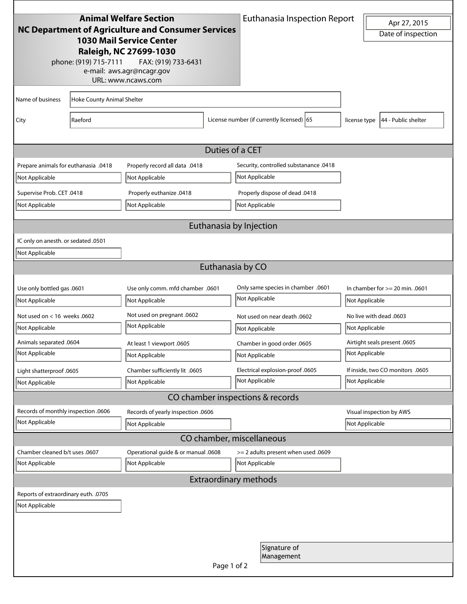|                                                    |                            | <b>Animal Welfare Section</b>                   |                  | <b>Euthanasia Inspection Report</b>                |                         |                                                |
|----------------------------------------------------|----------------------------|-------------------------------------------------|------------------|----------------------------------------------------|-------------------------|------------------------------------------------|
| NC Department of Agriculture and Consumer Services |                            |                                                 |                  |                                                    |                         | Apr 27, 2015                                   |
| <b>1030 Mail Service Center</b>                    |                            |                                                 |                  |                                                    |                         | Date of inspection                             |
|                                                    |                            | Raleigh, NC 27699-1030                          |                  |                                                    |                         |                                                |
|                                                    | phone: (919) 715-7111      | FAX: (919) 733-6431                             |                  |                                                    |                         |                                                |
|                                                    |                            | e-mail: aws.agr@ncagr.gov<br>URL: www.ncaws.com |                  |                                                    |                         |                                                |
|                                                    |                            |                                                 |                  |                                                    |                         |                                                |
| Name of business                                   | Hoke County Animal Shelter |                                                 |                  |                                                    |                         |                                                |
| City                                               | Raeford                    |                                                 |                  | License number (if currently licensed) 65          | license type            | 44 - Public shelter                            |
|                                                    |                            |                                                 |                  |                                                    |                         |                                                |
|                                                    |                            |                                                 |                  |                                                    |                         |                                                |
|                                                    |                            |                                                 | Duties of a CET  |                                                    |                         |                                                |
| Prepare animals for euthanasia .0418               |                            | Properly record all data .0418                  |                  | Security, controlled substanance .0418             |                         |                                                |
| Not Applicable                                     |                            | Not Applicable                                  |                  | Not Applicable                                     |                         |                                                |
| Supervise Prob. CET .0418                          |                            | Properly euthanize .0418                        |                  | Properly dispose of dead .0418                     |                         |                                                |
| Not Applicable                                     |                            | Not Applicable                                  |                  | Not Applicable                                     |                         |                                                |
|                                                    |                            |                                                 |                  | Euthanasia by Injection                            |                         |                                                |
|                                                    |                            |                                                 |                  |                                                    |                         |                                                |
| IC only on anesth. or sedated .0501                |                            |                                                 |                  |                                                    |                         |                                                |
| Not Applicable                                     |                            |                                                 |                  |                                                    |                         |                                                |
|                                                    |                            |                                                 | Euthanasia by CO |                                                    |                         |                                                |
| Use only bottled gas .0601                         |                            | Use only comm. mfd chamber .0601                |                  | 0601. Only same species in chamber                 |                         | In chamber for $>= 20$ min. .0601              |
| Not Applicable                                     |                            | Not Applicable                                  |                  | Not Applicable                                     | Not Applicable          |                                                |
| Not used on $<$ 16 weeks .0602                     |                            | Not used on pregnant .0602                      |                  | Not used on near death .0602                       | No live with dead .0603 |                                                |
| Not Applicable                                     |                            | Not Applicable                                  |                  | Not Applicable                                     | Not Applicable          |                                                |
|                                                    |                            |                                                 |                  |                                                    |                         |                                                |
| Animals separated .0604<br>Not Applicable          |                            | At least 1 viewport .0605                       |                  | Chamber in good order .0605<br>Not Applicable      |                         | Airtight seals present .0605<br>Not Applicable |
|                                                    |                            | Not Applicable                                  |                  |                                                    |                         |                                                |
| Light shatterproof .0605                           |                            | Chamber sufficiently lit .0605                  |                  | Electrical explosion-proof .0605<br>Not Applicable |                         | If inside, two CO monitors .0605               |
| Not Applicable                                     |                            | Not Applicable                                  |                  |                                                    |                         | Not Applicable                                 |
|                                                    |                            |                                                 |                  | CO chamber inspections & records                   |                         |                                                |
| Records of monthly inspection .0606                |                            | Records of yearly inspection .0606              |                  |                                                    |                         | Visual inspection by AWS                       |
| Not Applicable                                     |                            | Not Applicable                                  |                  |                                                    |                         | Not Applicable                                 |
|                                                    |                            |                                                 |                  | CO chamber, miscellaneous                          |                         |                                                |
| Chamber cleaned b/t uses .0607                     |                            | Operational guide & or manual .0608             |                  | > = 2 adults present when used .0609               |                         |                                                |
| Not Applicable                                     |                            | Not Applicable                                  |                  | Not Applicable                                     |                         |                                                |
|                                                    |                            |                                                 |                  | <b>Extraordinary methods</b>                       |                         |                                                |
| Reports of extraordinary euth. .0705               |                            |                                                 |                  |                                                    |                         |                                                |
| Not Applicable                                     |                            |                                                 |                  |                                                    |                         |                                                |
|                                                    |                            |                                                 |                  |                                                    |                         |                                                |
|                                                    |                            |                                                 |                  |                                                    |                         |                                                |
|                                                    |                            |                                                 |                  | Signature of                                       |                         |                                                |
|                                                    |                            |                                                 |                  | Management                                         |                         |                                                |
|                                                    |                            |                                                 | Page 1 of 2      |                                                    |                         |                                                |